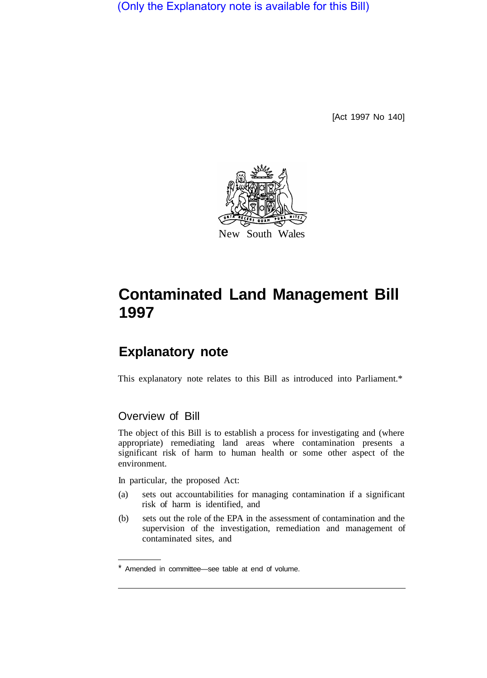(Only the Explanatory note is available for this Bill)

[Act 1997 No 140]



# **Contaminated Land Management Bill 1997**

# **Explanatory note**

This explanatory note relates to this Bill as introduced into Parliament.\*

## Overview of Bill

The object of this Bill is to establish a process for investigating and (where appropriate) remediating land areas where contamination presents a significant risk of harm to human health or some other aspect of the environment.

In particular, the proposed Act:

- (a) sets out accountabilities for managing contamination if a significant risk of harm is identified, and
- (b) sets out the role of the EPA in the assessment of contamination and the supervision of the investigation, remediation and management of contaminated sites, and

<sup>\*</sup> Amended in committee—see table at end of volume.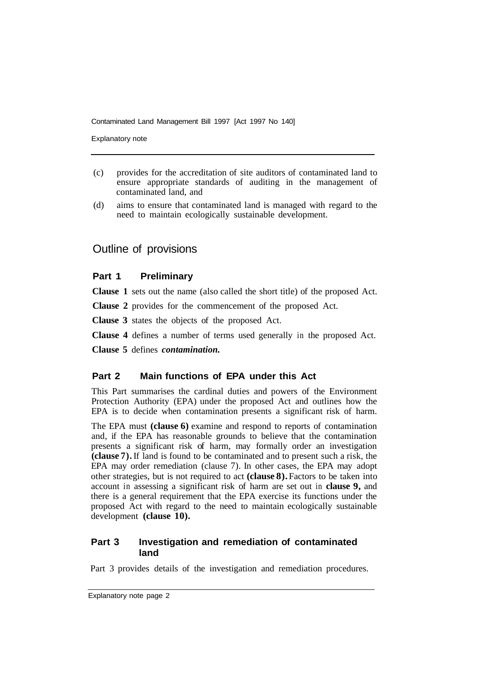Explanatory note

- (c) provides for the accreditation of site auditors of contaminated land to ensure appropriate standards of auditing in the management of contaminated land, and
- (d) aims to ensure that contaminated land is managed with regard to the need to maintain ecologically sustainable development.

### Outline of provisions

#### **Part 1 Preliminary**

**Clause 1** sets out the name (also called the short title) of the proposed Act.

**Clause 2** provides for the commencement of the proposed Act.

**Clause 3** states the objects of the proposed Act.

**Clause 4** defines a number of terms used generally in the proposed Act.

**Clause 5** defines *contamination.* 

#### **Part 2 Main functions of EPA under this Act**

This Part summarises the cardinal duties and powers of the Environment Protection Authority (EPA) under the proposed Act and outlines how the EPA is to decide when contamination presents a significant risk of harm.

The EPA must **(clause 6)** examine and respond to reports of contamination and, if the EPA has reasonable grounds to believe that the contamination presents a significant risk of harm, may formally order an investigation **(clause 7).** If land is found to be contaminated and to present such a risk, the EPA may order remediation (clause 7). In other cases, the EPA may adopt other strategies, but is not required to act **(clause 8).** Factors to be taken into account in assessing a significant risk of harm are set out in **clause 9,** and there is a general requirement that the EPA exercise its functions under the proposed Act with regard to the need to maintain ecologically sustainable development **(clause 10).** 

#### **Part 3 Investigation and remediation of contaminated land**

Part 3 provides details of the investigation and remediation procedures.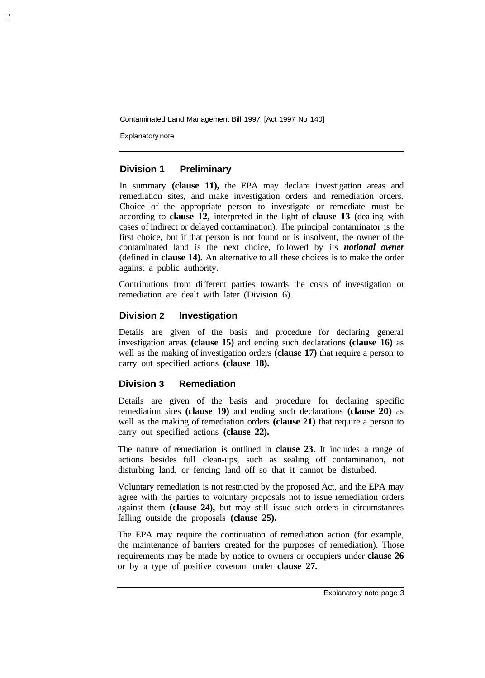Explanatory note

#### **Division 1 Preliminary**

In summary **(clause 11),** the EPA may declare investigation areas and remediation sites, and make investigation orders and remediation orders. Choice of the appropriate person to investigate or remediate must be according to **clause 12,** interpreted in the light of **clause 13** (dealing with cases of indirect or delayed contamination). The principal contaminator is the first choice, but if that person is not found or is insolvent, the owner of the contaminated land is the next choice, followed by its *notional owner*  (defined in **clause 14).** An alternative to all these choices is to make the order against a public authority.

Contributions from different parties towards the costs of investigation or remediation are dealt with later (Division 6).

#### **Division 2 Investigation**

Details are given of the basis and procedure for declaring general investigation areas **(clause 15)** and ending such declarations **(clause 16)** as well as the making of investigation orders **(clause 17)** that require a person to carry out specified actions **(clause 18).** 

#### **Division 3 Remediation**

Details are given of the basis and procedure for declaring specific remediation sites **(clause 19)** and ending such declarations **(clause 20)** as well as the making of remediation orders **(clause 21)** that require a person to carry out specified actions **(clause 22).** 

The nature of remediation is outlined in **clause 23.** It includes a range of actions besides full clean-ups, such as sealing off contamination, not disturbing land, or fencing land off so that it cannot be disturbed.

Voluntary remediation is not restricted by the proposed Act, and the EPA may agree with the parties to voluntary proposals not to issue remediation orders against them **(clause 24),** but may still issue such orders in circumstances falling outside the proposals **(clause 25).** 

The EPA may require the continuation of remediation action (for example, the maintenance of barriers created for the purposes of remediation). Those requirements may be made by notice to owners or occupiers under **clause 26**  or by a type of positive covenant under **clause 27.**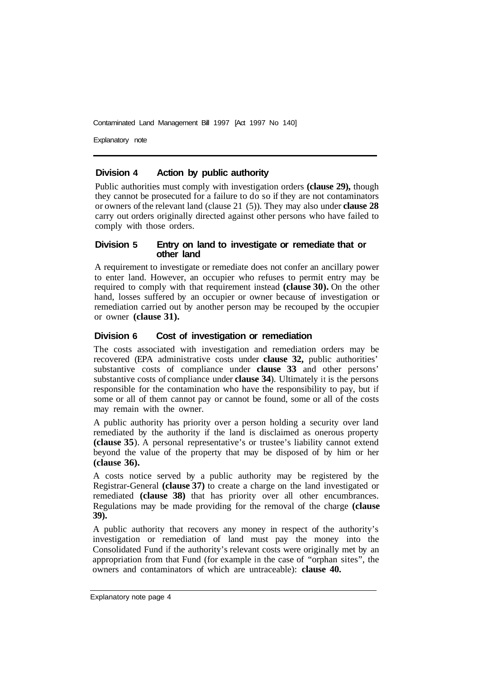Explanatory note

#### **Division 4 Action by public authority**

Public authorities must comply with investigation orders **(clause 29),** though they cannot be prosecuted for a failure to do so if they are not contaminators or owners of the relevant land (clause 21 (5)). They may also under **clause 28**  carry out orders originally directed against other persons who have failed to comply with those orders.

#### **Division 5 Entry on land to investigate or remediate that or other land**

A requirement to investigate or remediate does not confer an ancillary power to enter land. However, an occupier who refuses to permit entry may be required to comply with that requirement instead **(clause 30).** On the other hand, losses suffered by an occupier or owner because of investigation or remediation carried out by another person may be recouped by the occupier or owner **(clause 31).** 

#### **Division 6 Cost of investigation or remediation**

The costs associated with investigation and remediation orders may be recovered (EPA administrative costs under **clause 32,** public authorities' substantive costs of compliance under **clause 33** and other persons' substantive costs of compliance under **clause 34**). Ultimately it is the persons responsible for the contamination who have the responsibility to pay, but if some or all of them cannot pay or cannot be found, some or all of the costs may remain with the owner.

A public authority has priority over a person holding a security over land remediated by the authority if the land is disclaimed as onerous property **(clause 35**). A personal representative's or trustee's liability cannot extend beyond the value of the property that may be disposed of by him or her **(clause 36).** 

A costs notice served by a public authority may be registered by the Registrar-General **(clause 37)** to create a charge on the land investigated or remediated **(clause 38)** that has priority over all other encumbrances. Regulations may be made providing for the removal of the charge **(clause 39).** 

A public authority that recovers any money in respect of the authority's investigation or remediation of land must pay the money into the Consolidated Fund if the authority's relevant costs were originally met by an appropriation from that Fund (for example in the case of "orphan sites", the owners and contaminators of which are untraceable): **clause 40.**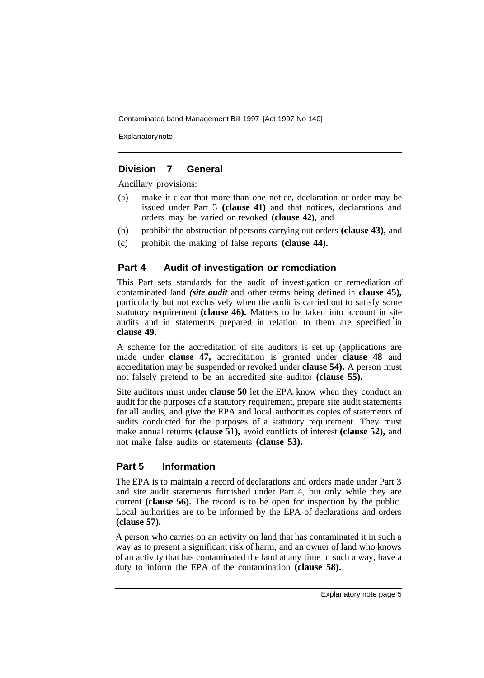**Explanatory note** 

#### **Division 7 General**

Ancillary provisions:

- (a) make it clear that more than one notice, declaration or order may be issued under Part 3 **(clause 41)** and that notices, declarations and orders may be varied or revoked **(clause 42),** and
- (b) prohibit the obstruction of persons carrying out orders **(clause 43),** and
- (c) prohibit the making of false reports **(clause 44).**

#### **Part 4 Audit of investigation or remediation**

This Part sets standards for the audit of investigation or remediation of contaminated land *(site audit* and other terms being defined in **clause 45),**  particularly but not exclusively when the audit is carried out to satisfy some statutory requirement **(clause 46).** Matters to be taken into account in site audits and in statements prepared in relation to them are specified in **clause 49.** 

A scheme for the accreditation of site auditors is set up (applications are made under **clause 47,** accreditation is granted under **clause 48** and accreditation may be suspended or revoked under **clause 54).** A person must not falsely pretend to be an accredited site auditor **(clause 55).** 

Site auditors must under **clause 50** let the EPA know when they conduct an audit for the purposes of a statutory requirement, prepare site audit statements for all audits, and give the EPA and local authorities copies of statements of audits conducted for the purposes of a statutory requirement. They must make annual returns **(clause 51),** avoid conflicts of interest **(clause 52),** and not make false audits or statements **(clause 53).** 

#### **Part 5 Information**

The EPA is to maintain a record of declarations and orders made under Part 3 and site audit statements furnished under Part 4, but only while they are current **(clause 56).** The record is to be open for inspection by the public. Local authorities are to be informed by the EPA of declarations and orders **(clause 57).** 

A person who carries on an activity on land that has contaminated it in such a way as to present a significant risk of harm, and an owner of land who knows of an activity that has contaminated the land at any time in such a way, have a duty to inform the EPA of the contamination **(clause 58).**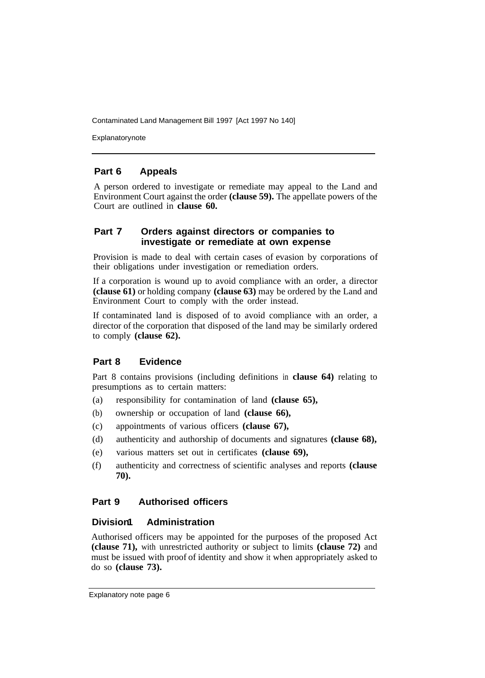Explanatorynote

#### **Part 6 Appeals**

A person ordered to investigate or remediate may appeal to the Land and Environment Court against the order **(clause 59).** The appellate powers of the Court are outlined in **clause 60.** 

#### **Part 7 Orders against directors or companies to investigate or remediate at own expense**

Provision is made to deal with certain cases of evasion by corporations of their obligations under investigation or remediation orders.

If a corporation is wound up to avoid compliance with an order, a director **(clause 61)** or holding company **(clause 63)** may be ordered by the Land and Environment Court to comply with the order instead.

If contaminated land is disposed of to avoid compliance with an order, a director of the corporation that disposed of the land may be similarly ordered to comply **(clause 62).** 

#### **Part 8 Evidence**

Part 8 contains provisions (including definitions in **clause 64)** relating to presumptions as to certain matters:

- (a) responsibility for contamination of land **(clause 65),**
- (b) ownership or occupation of land **(clause 66),**
- (c) appointments of various officers **(clause 67),**
- (d) authenticity and authorship of documents and signatures **(clause 68),**
- (e) various matters set out in certificates **(clause 69),**
- (f) authenticity and correctness of scientific analyses and reports **(clause 70).**

#### **Part 9 Authorised officers**

#### **Division Administration**

Authorised officers may be appointed for the purposes of the proposed Act **(clause 71),** with unrestricted authority or subject to limits **(clause 72)** and must be issued with proof of identity and show it when appropriately asked to do so **(clause 73).**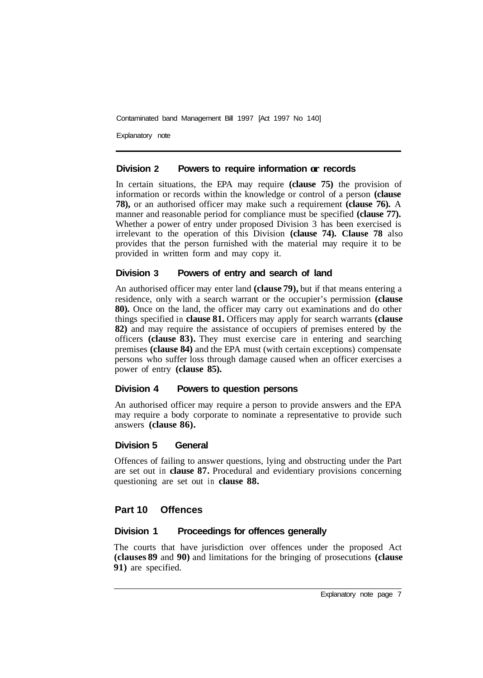Explanatory note

#### **Division 2 Powers to require information or records**

In certain situations, the EPA may require **(clause 75)** the provision of information or records within the knowledge or control of a person **(clause 78),** or an authorised officer may make such a requirement **(clause 76).** A manner and reasonable period for compliance must be specified **(clause 77).**  Whether a power of entry under proposed Division 3 has been exercised is irrelevant to the operation of this Division **(clause 74). Clause 78** also provides that the person furnished with the material may require it to be provided in written form and may copy it.

#### **Division 3 Powers of entry and search of land**

An authorised officer may enter land **(clause 79),** but if that means entering a residence, only with a search warrant or the occupier's permission **(clause 80).** Once on the land, the officer may carry out examinations and do other things specified in **clause 81.** Officers may apply for search warrants **(clause 82)** and may require the assistance of occupiers of premises entered by the officers **(clause 83).** They must exercise care in entering and searching premises **(clause 84)** and the EPA must (with certain exceptions) compensate persons who suffer loss through damage caused when an officer exercises a power of entry **(clause 85).** 

#### **Division 4 Powers to question persons**

An authorised officer may require a person to provide answers and the EPA may require a body corporate to nominate a representative to provide such answers **(clause 86).** 

#### **Division 5 General**

Offences of failing to answer questions, lying and obstructing under the Part are set out in **clause 87.** Procedural and evidentiary provisions concerning questioning are set out in **clause 88.** 

#### **Part 10 Offences**

#### **Division 1 Proceedings for offences generally**

The courts that have jurisdiction over offences under the proposed Act **(clauses 89** and **90)** and limitations for the bringing of prosecutions **(clause 91)** are specified.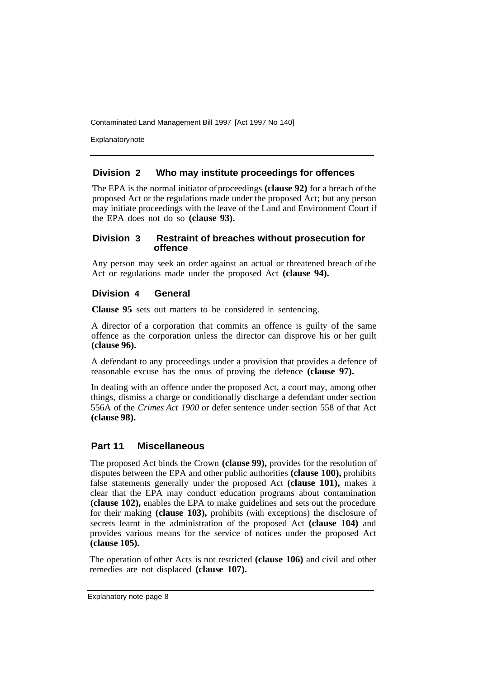**Explanatory note** 

#### **Division 2 Who may institute proceedings for offences**

The EPA is the normal initiator of proceedings **(clause 92)** for a breach of the proposed Act or the regulations made under the proposed Act; but any person may initiate proceedings with the leave of the Land and Environment Court if the EPA does not do so **(clause 93).** 

#### **Division 3 Restraint of breaches without prosecution for offence**

Any person may seek an order against an actual or threatened breach of the Act or regulations made under the proposed Act **(clause 94).** 

#### **Division 4 General**

**Clause 95** sets out matters to be considered in sentencing.

A director of a corporation that commits an offence is guilty of the same offence as the corporation unless the director can disprove his or her guilt **(clause 96).** 

A defendant to any proceedings under a provision that provides a defence of reasonable excuse has the onus of proving the defence **(clause 97).** 

In dealing with an offence under the proposed Act, a court may, among other things, dismiss a charge or conditionally discharge a defendant under section 556A of the *Crimes Act 1900* or defer sentence under section 558 of that Act **(clause 98).** 

#### **Part 11 Miscellaneous**

The proposed Act binds the Crown **(clause 99),** provides for the resolution of disputes between the EPA and other public authorities **(clause 100),** prohibits false statements generally under the proposed Act **(clause 101),** makes it clear that the EPA may conduct education programs about contamination **(clause 102),** enables the EPA to make guidelines and sets out the procedure for their making **(clause 103),** prohibits (with exceptions) the disclosure of secrets learnt in the administration of the proposed Act **(clause 104)** and provides various means for the service of notices under the proposed Act **(clause 105).** 

The operation of other Acts is not restricted **(clause 106)** and civil and other remedies are not displaced **(clause 107).**